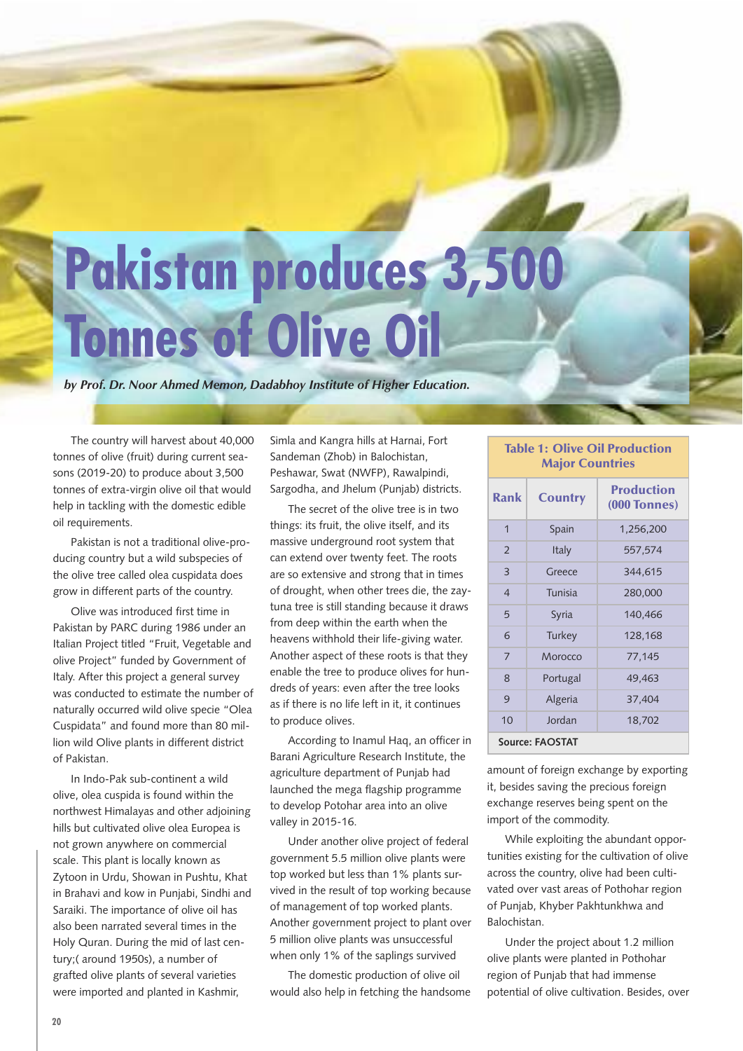# **Pakistan produces 3,500 Tonnes of Olive Oil**

*by Prof. Dr. Noor Ahmed Memon, Dadabhoy Institute of Higher Education.*

The country will harvest about 40,000 tonnes of olive (fruit) during current seasons (2019-20) to produce about 3,500 tonnes of extra-virgin olive oil that would help in tackling with the domestic edible oil requirements.

Pakistan is not a traditional olive-producing country but a wild subspecies of the olive tree called olea cuspidata does grow in different parts of the country.

Olive was introduced first time in Pakistan by PARC during 1986 under an Italian Project titled "Fruit, Vegetable and olive Project" funded by Government of Italy. After this project a general survey was conducted to estimate the number of naturally occurred wild olive specie "Olea Cuspidata" and found more than 80 million wild Olive plants in different district of Pakistan.

In Indo-Pak sub-continent a wild olive, olea cuspida is found within the northwest Himalayas and other adjoining hills but cultivated olive olea Europea is not grown anywhere on commercial scale. This plant is locally known as Zytoon in Urdu, Showan in Pushtu, Khat in Brahavi and kow in Punjabi, Sindhi and Saraiki. The importance of olive oil has also been narrated several times in the Holy Quran. During the mid of last century;( around 1950s), a number of grafted olive plants of several varieties were imported and planted in Kashmir,

Simla and Kangra hills at Harnai, Fort Sandeman (Zhob) in Balochistan, Peshawar, Swat (NWFP), Rawalpindi, Sargodha, and Jhelum (Punjab) districts.

The secret of the olive tree is in two things: its fruit, the olive itself, and its massive underground root system that can extend over twenty feet. The roots are so extensive and strong that in times of drought, when other trees die, the zaytuna tree is still standing because it draws from deep within the earth when the heavens withhold their life-giving water. Another aspect of these roots is that they enable the tree to produce olives for hundreds of years: even after the tree looks as if there is no life left in it, it continues to produce olives.

According to Inamul Haq, an officer in Barani Agriculture Research Institute, the agriculture department of Punjab had launched the mega flagship programme to develop Potohar area into an olive valley in 2015-16.

Under another olive project of federal government 5.5 million olive plants were top worked but less than 1% plants survived in the result of top working because of management of top worked plants. Another government project to plant over 5 million olive plants was unsuccessful when only 1% of the saplings survived

The domestic production of olive oil would also help in fetching the handsome

#### **Table 1: Olive Oil Production Major Countries**

| Rank            | <b>Country</b> | <b>Production</b><br><b>(000 Tonnes)</b> |  |  |  |
|-----------------|----------------|------------------------------------------|--|--|--|
| 1               | Spain          | 1,256,200                                |  |  |  |
| $\overline{2}$  | <b>Italy</b>   | 557,574                                  |  |  |  |
| 3               | Greece         | 344,615                                  |  |  |  |
| $\overline{4}$  | Tunisia        | 280,000                                  |  |  |  |
| 5               | Syria          | 140,466                                  |  |  |  |
| 6               | Turkey         | 128,168                                  |  |  |  |
| $\overline{7}$  | Morocco        | 77,145                                   |  |  |  |
| 8               | Portugal       | 49,463                                   |  |  |  |
| 9               | Algeria        | 37,404                                   |  |  |  |
| 10              | Jordan         | 18,702                                   |  |  |  |
| Source: FAOSTAT |                |                                          |  |  |  |

amount of foreign exchange by exporting it, besides saving the precious foreign exchange reserves being spent on the import of the commodity.

While exploiting the abundant opportunities existing for the cultivation of olive across the country, olive had been cultivated over vast areas of Pothohar region of Punjab, Khyber Pakhtunkhwa and Balochistan.

Under the project about 1.2 million olive plants were planted in Pothohar region of Punjab that had immense potential of olive cultivation. Besides, over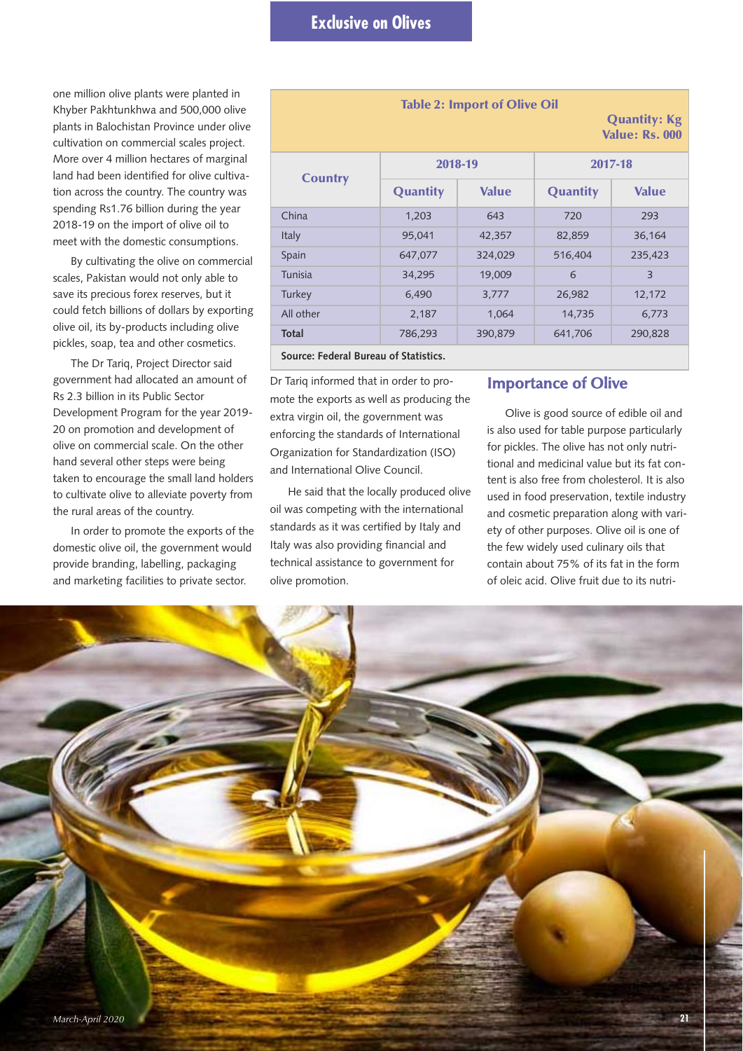one million olive plants were planted in Khyber Pakhtunkhwa and 500,000 olive plants in Balochistan Province under olive cultivation on commercial scales project. More over 4 million hectares of marginal land had been identified for olive cultivation across the country. The country was spending Rs1.76 billion during the year 2018-19 on the import of olive oil to meet with the domestic consumptions.

By cultivating the olive on commercial scales, Pakistan would not only able to save its precious forex reserves, but it could fetch billions of dollars by exporting olive oil, its by-products including olive pickles, soap, tea and other cosmetics.

The Dr Tariq, Project Director said government had allocated an amount of Rs 2.3 billion in its Public Sector Development Program for the year 2019- 20 on promotion and development of olive on commercial scale. On the other hand several other steps were being taken to encourage the small land holders to cultivate olive to alleviate poverty from the rural areas of the country.

In order to promote the exports of the domestic olive oil, the government would provide branding, labelling, packaging and marketing facilities to private sector.

| <b>Table 2: Import of Olive Oil</b><br><b>Quantity: Kg</b><br><b>Value: Rs. 000</b> |                 |              |                 |                |  |  |
|-------------------------------------------------------------------------------------|-----------------|--------------|-----------------|----------------|--|--|
|                                                                                     | 2018-19         |              | 2017-18         |                |  |  |
| <b>Country</b>                                                                      | <b>Quantity</b> | <b>Value</b> | <b>Quantity</b> | <b>Value</b>   |  |  |
| China                                                                               | 1,203           | 643          | 720             | 293            |  |  |
| Italy                                                                               | 95,041          | 42,357       | 82,859          | 36,164         |  |  |
| Spain                                                                               | 647,077         | 324,029      | 516,404         | 235,423        |  |  |
| <b>Tunisia</b>                                                                      | 34,295          | 19,009       | 6               | $\overline{3}$ |  |  |
| Turkey                                                                              | 6,490           | 3,777        | 26,982          | 12,172         |  |  |
| All other                                                                           | 2,187           | 1,064        | 14,735          | 6,773          |  |  |
| Total                                                                               | 786,293         | 390,879      | 641,706         | 290,828        |  |  |
| Source: Federal Bureau of Statistics.                                               |                 |              |                 |                |  |  |

Dr Tariq informed that in order to promote the exports as well as producing the extra virgin oil, the government was enforcing the standards of International Organization for Standardization (ISO) and International Olive Council.

He said that the locally produced olive oil was competing with the international standards as it was certified by Italy and Italy was also providing financial and technical assistance to government for olive promotion.

# **Importance of Olive**

Olive is good source of edible oil and is also used for table purpose particularly for pickles. The olive has not only nutritional and medicinal value but its fat content is also free from cholesterol. It is also used in food preservation, textile industry and cosmetic preparation along with variety of other purposes. Olive oil is one of the few widely used culinary oils that contain about 75% of its fat in the form of oleic acid. Olive fruit due to its nutri-

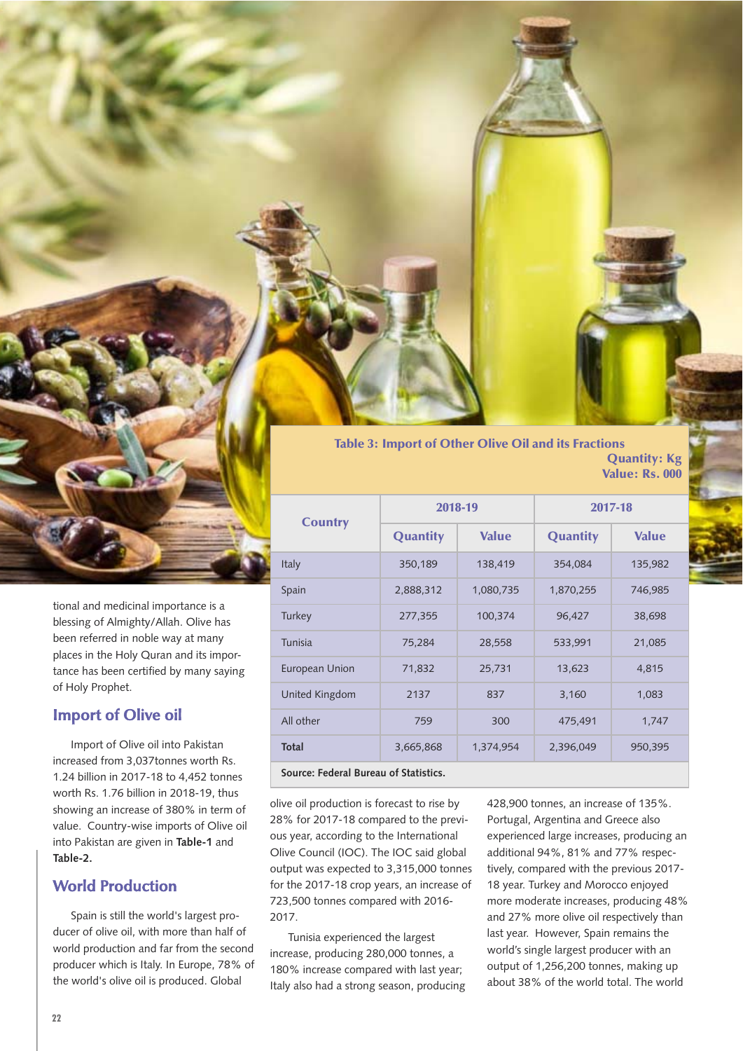

tional and medicinal importance is a blessing of Almighty/Allah. Olive has been referred in noble way at many places in the Holy Quran and its importance has been certified by many saying of Holy Prophet.

# **Import of Olive oil**

Import of Olive oil into Pakistan increased from 3,037tonnes worth Rs. 1.24 billion in 2017-18 to 4,452 tonnes worth Rs. 1.76 billion in 2018-19, thus showing an increase of 380% in term of value. Country-wise imports of Olive oil into Pakistan are given in **Table-1** and **Table-2.**

# **World Production**

Spain is still the world's largest producer of olive oil, with more than half of world production and far from the second producer which is Italy. In Europe, 78% of the world's olive oil is produced. Global

**Table 3: Import of Other Olive Oil and its Fractions Quantity: Kg Value: Rs. 000**

| <b>Country</b>        | 2018-19         |              | 2017-18         |              |  |
|-----------------------|-----------------|--------------|-----------------|--------------|--|
|                       | <b>Quantity</b> | <b>Value</b> | <b>Quantity</b> | <b>Value</b> |  |
| <b>Italy</b>          | 350,189         | 138,419      | 354,084         | 135,982      |  |
| Spain                 | 2,888,312       | 1,080,735    | 1,870,255       | 746,985      |  |
| Turkey                | 277,355         | 100,374      | 96,427          | 38,698       |  |
| <b>Tunisia</b>        | 75,284          | 28,558       | 533,991         | 21,085       |  |
| <b>European Union</b> | 71,832          | 25,731       | 13,623          | 4,815        |  |
| United Kingdom        | 2137            | 837          | 3,160           | 1,083        |  |
| All other             | 759             | 300          | 475,491         | 1,747        |  |
| <b>Total</b>          | 3,665,868       | 1,374,954    | 2,396,049       | 950,395      |  |
|                       |                 |              |                 |              |  |

**Source: Federal Bureau of Statistics.**

olive oil production is forecast to rise by 28% for 2017-18 compared to the previous year, according to the International Olive Council (IOC). The IOC said global output was expected to 3,315,000 tonnes for the 2017-18 crop years, an increase of 723,500 tonnes compared with 2016- 2017.

Tunisia experienced the largest increase, producing 280,000 tonnes, a 180% increase compared with last year; Italy also had a strong season, producing

428,900 tonnes, an increase of 135%. Portugal, Argentina and Greece also experienced large increases, producing an additional 94%, 81% and 77% respectively, compared with the previous 2017- 18 year. Turkey and Morocco enjoyed more moderate increases, producing 48% and 27% more olive oil respectively than last year. However, Spain remains the world's single largest producer with an output of 1,256,200 tonnes, making up about 38% of the world total. The world